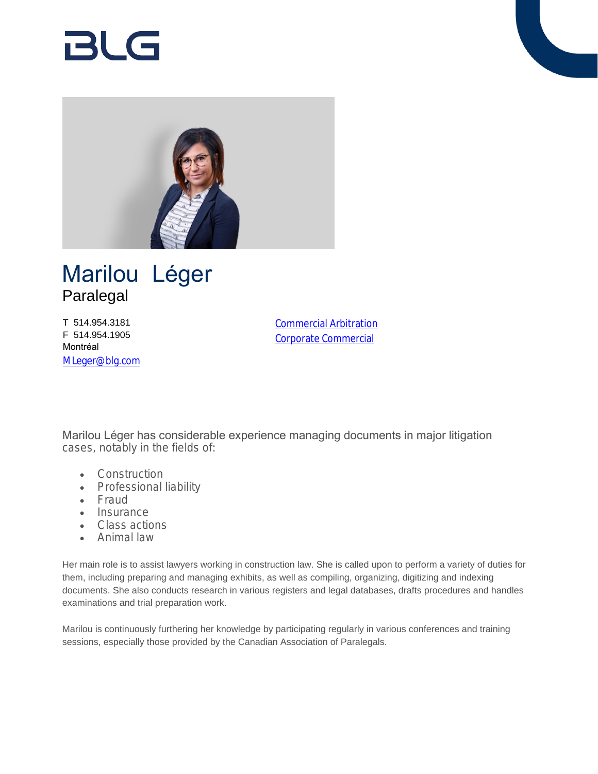# BlG



## Marilou Léger Paralegal

T 514.954.3181 F 514.954.1905 Montréal [MLeger@blg.com](mailto:MLeger@blg.com) [Commercial Arbitration](https://www.blg.com/en/services/practice-areas/disputes/commercial-arbitration) [Corporate Commercial](https://www.blg.com/en/services/practice-areas/corporate-commercial)

Marilou Léger has considerable experience managing documents in major litigation cases, notably in the fields of:

- Construction
- Professional liability
- Fraud
- Insurance
- Class actions
- Animal law

Her main role is to assist lawyers working in construction law. She is called upon to perform a variety of duties for them, including preparing and managing exhibits, as well as compiling, organizing, digitizing and indexing documents. She also conducts research in various registers and legal databases, drafts procedures and handles examinations and trial preparation work.

Marilou is continuously furthering her knowledge by participating regularly in various conferences and training sessions, especially those provided by the Canadian Association of Paralegals.